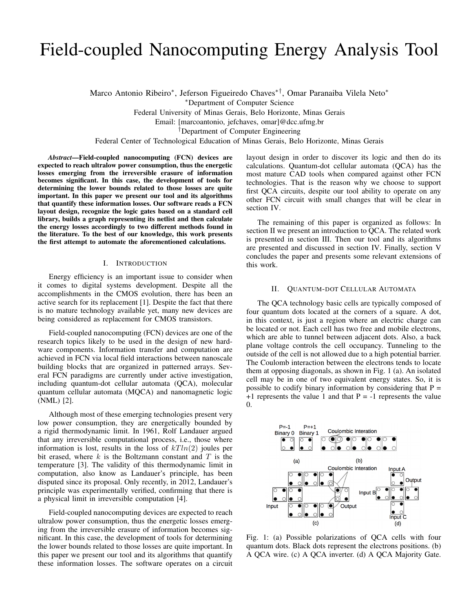# Field-coupled Nanocomputing Energy Analysis Tool

Marco Antonio Ribeiro<sup>∗</sup> , Jeferson Figueiredo Chaves∗†, Omar Paranaiba Vilela Neto<sup>∗</sup>

<sup>∗</sup>Department of Computer Science

Federal University of Minas Gerais, Belo Horizonte, Minas Gerais

Email: [marcoantonio, jefchaves, omar]@dcc.ufmg.br

†Department of Computer Engineering

Federal Center of Technological Education of Minas Gerais, Belo Horizonte, Minas Gerais

*Abstract*—Field-coupled nanocomputing (FCN) devices are expected to reach ultralow power consumption, thus the energetic losses emerging from the irreversible erasure of information becomes significant. In this case, the development of tools for determining the lower bounds related to those losses are quite important. In this paper we present our tool and its algorithms that quantify these information losses. Our software reads a FCN layout design, recognize the logic gates based on a standard cell library, builds a graph representing its netlist and then calculate the energy losses accordingly to two different methods found in the literature. To the best of our knowledge, this work presents the first attempt to automate the aforementioned calculations.

### I. INTRODUCTION

Energy efficiency is an important issue to consider when it comes to digital systems development. Despite all the accomplishments in the CMOS evolution, there has been an active search for its replacement [1]. Despite the fact that there is no mature technology available yet, many new devices are being considered as replacement for CMOS transistors.

Field-coupled nanocomputing (FCN) devices are one of the research topics likely to be used in the design of new hardware components. Information transfer and computation are achieved in FCN via local field interactions between nanoscale building blocks that are organized in patterned arrays. Several FCN paradigms are currently under active investigation, including quantum-dot cellular automata (QCA), molecular quantum cellular automata (MQCA) and nanomagnetic logic (NML) [2].

Although most of these emerging technologies present very low power consumption, they are energetically bounded by a rigid thermodynamic limit. In 1961, Rolf Landauer argued that any irreversible computational process, i.e., those where information is lost, results in the loss of  $kTln(2)$  joules per bit erased, where  $k$  is the Boltzmann constant and  $T$  is the temperature [3]. The validity of this thermodynamic limit in computation, also know as Landauer's principle, has been disputed since its proposal. Only recently, in 2012, Landauer's principle was experimentally verified, confirming that there is a physical limit in irreversible computation [4].

Field-coupled nanocomputing devices are expected to reach ultralow power consumption, thus the energetic losses emerging from the irreversible erasure of information becomes significant. In this case, the development of tools for determining the lower bounds related to those losses are quite important. In this paper we present our tool and its algorithms that quantify these information losses. The software operates on a circuit layout design in order to discover its logic and then do its calculations. Quantum-dot cellular automata (QCA) has the most mature CAD tools when compared against other FCN technologies. That is the reason why we choose to support first QCA circuits, despite our tool ability to operate on any other FCN circuit with small changes that will be clear in section IV.

The remaining of this paper is organized as follows: In section II we present an introduction to QCA. The related work is presented in section III. Then our tool and its algorithms are presented and discussed in section IV. Finally, section V concludes the paper and presents some relevant extensions of this work.

#### II. QUANTUM-DOT CELLULAR AUTOMATA

The QCA technology basic cells are typically composed of four quantum dots located at the corners of a square. A dot, in this context, is just a region where an electric charge can be located or not. Each cell has two free and mobile electrons, which are able to tunnel between adjacent dots. Also, a back plane voltage controls the cell occupancy. Tunneling to the outside of the cell is not allowed due to a high potential barrier. The Coulomb interaction between the electrons tends to locate them at opposing diagonals, as shown in Fig. 1 (a). An isolated cell may be in one of two equivalent energy states. So, it is possible to codify binary information by considering that  $P =$  $+1$  represents the value 1 and that P = -1 represents the value 0.



Fig. 1: (a) Possible polarizations of QCA cells with four quantum dots. Black dots represent the electrons positions. (b) A QCA wire. (c) A QCA inverter. (d) A QCA Majority Gate.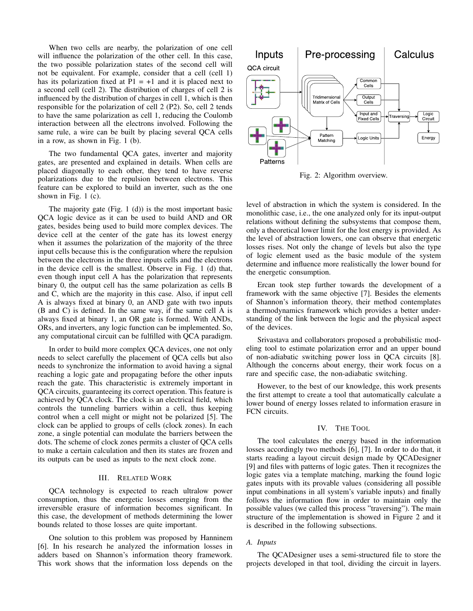When two cells are nearby, the polarization of one cell will influence the polarization of the other cell. In this case, the two possible polarization states of the second cell will not be equivalent. For example, consider that a cell (cell 1) has its polarization fixed at  $P1 = +1$  and it is placed next to a second cell (cell 2). The distribution of charges of cell 2 is influenced by the distribution of charges in cell 1, which is then responsible for the polarization of cell 2 (P2). So, cell 2 tends to have the same polarization as cell 1, reducing the Coulomb interaction between all the electrons involved. Following the same rule, a wire can be built by placing several QCA cells in a row, as shown in Fig. 1 (b).

The two fundamental QCA gates, inverter and majority gates, are presented and explained in details. When cells are placed diagonally to each other, they tend to have reverse polarizations due to the repulsion between electrons. This feature can be explored to build an inverter, such as the one shown in Fig. 1 (c).

The majority gate (Fig. 1  $(d)$ ) is the most important basic QCA logic device as it can be used to build AND and OR gates, besides being used to build more complex devices. The device cell at the center of the gate has its lowest energy when it assumes the polarization of the majority of the three input cells because this is the configuration where the repulsion between the electrons in the three inputs cells and the electrons in the device cell is the smallest. Observe in Fig. 1 (d) that, even though input cell A has the polarization that represents binary 0, the output cell has the same polarization as cells B and C, which are the majority in this case. Also, if input cell A is always fixed at binary 0, an AND gate with two inputs (B and C) is defined. In the same way, if the same cell A is always fixed at binary 1, an OR gate is formed. With ANDs, ORs, and inverters, any logic function can be implemented. So, any computational circuit can be fulfilled with QCA paradigm.

In order to build more complex QCA devices, one not only needs to select carefully the placement of QCA cells but also needs to synchronize the information to avoid having a signal reaching a logic gate and propagating before the other inputs reach the gate. This characteristic is extremely important in QCA circuits, guaranteeing its correct operation. This feature is achieved by QCA clock. The clock is an electrical field, which controls the tunneling barriers within a cell, thus keeping control when a cell might or might not be polarized [5]. The clock can be applied to groups of cells (clock zones). In each zone, a single potential can modulate the barriers between the dots. The scheme of clock zones permits a cluster of QCA cells to make a certain calculation and then its states are frozen and its outputs can be used as inputs to the next clock zone.

#### III. RELATED WORK

QCA technology is expected to reach ultralow power consumption, thus the energetic losses emerging from the irreversible erasure of information becomes significant. In this case, the development of methods determining the lower bounds related to those losses are quite important.

One solution to this problem was proposed by Hanninem [6]. In his research he analyzed the information losses in adders based on Shannon's information theory framework. This work shows that the information loss depends on the



Fig. 2: Algorithm overview.

level of abstraction in which the system is considered. In the monolithic case, i.e., the one analyzed only for its input-output relations without defining the subsystems that compose them, only a theoretical lower limit for the lost energy is provided. As the level of abstraction lowers, one can observe that energetic losses rises. Not only the change of levels but also the type of logic element used as the basic module of the system determine and influence more realistically the lower bound for the energetic consumption.

Ercan took step further towards the development of a framework with the same objective [7]. Besides the elements of Shannon's information theory, their method contemplates a thermodynamics framework which provides a better understanding of the link between the logic and the physical aspect of the devices.

Srivastava and collaborators proposed a probabilistic modeling tool to estimate polarization error and an upper bound of non-adiabatic switching power loss in QCA circuits [8]. Although the concerns about energy, their work focus on a rare and specific case, the non-adiabatic switching.

However, to the best of our knowledge, this work presents the first attempt to create a tool that automatically calculate a lower bound of energy losses related to information erasure in FCN circuits.

#### IV. THE TOOL

The tool calculates the energy based in the information losses accordingly two methods [6], [7]. In order to do that, it starts reading a layout circuit design made by QCADesigner [9] and files with patterns of logic gates. Then it recognizes the logic gates via a template matching, marking the found logic gates inputs with its provable values (considering all possible input combinations in all system's variable inputs) and finally follows the information flow in order to maintain only the possible values (we called this process "traversing"). The main structure of the implementation is showed in Figure 2 and it is described in the following subsections.

## *A. Inputs*

The QCADesigner uses a semi-structured file to store the projects developed in that tool, dividing the circuit in layers.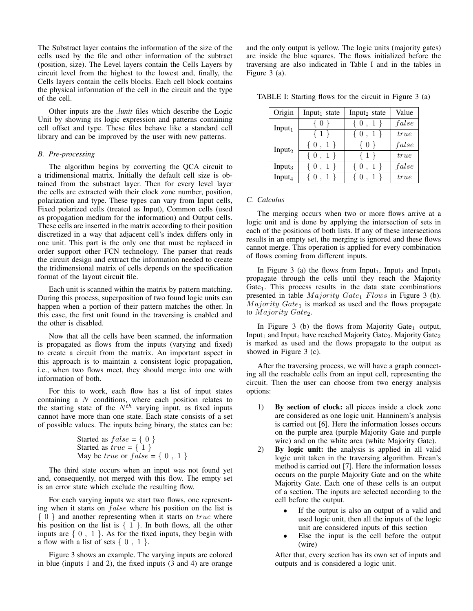The Substract layer contains the information of the size of the cells used by the file and other information of the subtract (position, size). The Level layers contain the Cells Layers by circuit level from the highest to the lowest and, finally, the Cells layers contain the cells blocks. Each cell block contains the physical information of the cell in the circuit and the type of the cell.

Other inputs are the *.lunit* files which describe the Logic Unit by showing its logic expression and patterns containing cell offset and type. These files behave like a standard cell library and can be improved by the user with new patterns.

#### *B. Pre-processing*

The algorithm begins by converting the QCA circuit to a tridimensional matrix. Initially the default cell size is obtained from the substract layer. Then for every level layer the cells are extracted with their clock zone number, position, polarization and type. These types can vary from Input cells, Fixed polarized cells (treated as Input), Common cells (used as propagation medium for the information) and Output cells. These cells are inserted in the matrix according to their position discretized in a way that adjacent cell's index differs only in one unit. This part is the only one that must be replaced in order support other FCN technology. The parser that reads the circuit design and extract the information needed to create the tridimensional matrix of cells depends on the specification format of the layout circuit file.

Each unit is scanned within the matrix by pattern matching. During this process, superposition of two found logic units can happen when a portion of their pattern matches the other. In this case, the first unit found in the traversing is enabled and the other is disabled.

Now that all the cells have been scanned, the information is propagated as flows from the inputs (varying and fixed) to create a circuit from the matrix. An important aspect in this approach is to maintain a consistent logic propagation, i.e., when two flows meet, they should merge into one with information of both.

For this to work, each flow has a list of input states containing a N conditions, where each position relates to the starting state of the  $N^{th}$  varying input, as fixed inputs cannot have more than one state. Each state consists of a set of possible values. The inputs being binary, the states can be:

```
Started as false = \{ 0 \}Started as true = \{ 1 \}May be true or false = \{ 0, 1 \}
```
The third state occurs when an input was not found yet and, consequently, not merged with this flow. The empty set is an error state which exclude the resulting flow.

For each varying inputs we start two flows, one representing when it starts on  $false$  where his position on the list is  $\{ 0 \}$  and another representing when it starts on true where his position on the list is  $\{1\}$ . In both flows, all the other inputs are  $\{ 0, 1 \}$ . As for the fixed inputs, they begin with a flow with a list of sets  $\{0, 1\}$ .

Figure 3 shows an example. The varying inputs are colored in blue (inputs 1 and 2), the fixed inputs (3 and 4) are orange and the only output is yellow. The logic units (majority gates) are inside the blue squares. The flows initialized before the traversing are also indicated in Table I and in the tables in Figure 3 (a).

TABLE I: Starting flows for the circuit in Figure 3 (a)

| Origin             | Input <sub>1</sub> state | Input <sub>2</sub> state | Value |
|--------------------|--------------------------|--------------------------|-------|
| Input $1$          | $\{0\}$                  | $\{0, 1\}$               | false |
|                    | $\{1\}$                  | $\{0, 1\}$               | true  |
| Input $2$          | $\{0, 1\}$               | $\{0\}$                  | false |
|                    | $\{0, 1\}$               | $\{1\}$                  | true  |
| Input $_3$         | $\{0, 1\}$               | $\{0, 1\}$               | false |
| Input <sub>4</sub> | ${0, 1}$                 | $\{0, 1\}$               | true  |

## *C. Calculus*

The merging occurs when two or more flows arrive at a logic unit and is done by applying the intersection of sets in each of the positions of both lists. If any of these intersections results in an empty set, the merging is ignored and these flows cannot merge. This operation is applied for every combination of flows coming from different inputs.

In Figure 3 (a) the flows from Input<sub>1</sub>, Input<sub>2</sub> and Input<sub>3</sub> propagate through the cells until they reach the Majority Gate<sub>1</sub>. This process results in the data state combinations presented in table  $Majority$   $Gate_1$   $Flows$  in Figure 3 (b).  $Majority Gate<sub>1</sub>$  is marked as used and the flows propagate to *Majority* Gate<sub>2</sub>.

In Figure 3 (b) the flows from Majority Gate<sub>1</sub> output, Input<sub>1</sub> and Input<sub>4</sub> have reached Majority Gate<sub>2</sub>. Majority Gate<sub>2</sub> is marked as used and the flows propagate to the output as showed in Figure 3 (c).

After the traversing process, we will have a graph connecting all the reachable cells from an input cell, representing the circuit. Then the user can choose from two energy analysis options:

- 1) By section of clock: all pieces inside a clock zone are considered as one logic unit. Hanninem's analysis is carried out [6]. Here the information losses occurs on the purple area (purple Majority Gate and purple wire) and on the white area (white Majority Gate).
- 2) By logic unit: the analysis is applied in all valid logic unit taken in the traversing algorithm. Ercan's method is carried out [7]. Here the information losses occurs on the purple Majority Gate and on the white Majority Gate. Each one of these cells is an output of a section. The inputs are selected according to the cell before the output.
	- If the output is also an output of a valid and used logic unit, then all the inputs of the logic unit are considered inputs of this section
	- Else the input is the cell before the output (wire)

After that, every section has its own set of inputs and outputs and is considered a logic unit.